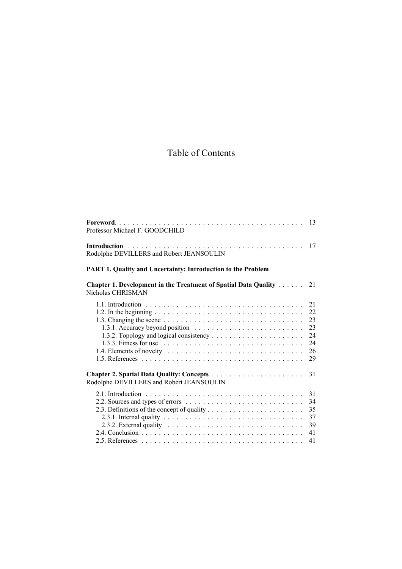# Table of Contents

| Professor Michael F. GOODCHILD                                                                        | 13                                           |
|-------------------------------------------------------------------------------------------------------|----------------------------------------------|
| Rodolphe DEVILLERS and Robert JEANSOULIN                                                              | 17                                           |
| <b>PART 1. Quality and Uncertainty: Introduction to the Problem</b>                                   |                                              |
| <b>Chapter 1. Development in the Treatment of Spatial Data Quality </b><br>Nicholas CHRISMAN          | 21                                           |
| 1.3.3. Fitness for use $\ldots \ldots \ldots \ldots \ldots \ldots \ldots \ldots \ldots \ldots \ldots$ | 21<br>22<br>23<br>23<br>24<br>24<br>26<br>29 |
| Rodolphe DEVILLERS and Robert JEANSOULIN                                                              | 31                                           |
| 2.3.2. External quality $\ldots \ldots \ldots \ldots \ldots \ldots \ldots \ldots \ldots \ldots$       | 31<br>34<br>35<br>37<br>39<br>41             |
|                                                                                                       | 41                                           |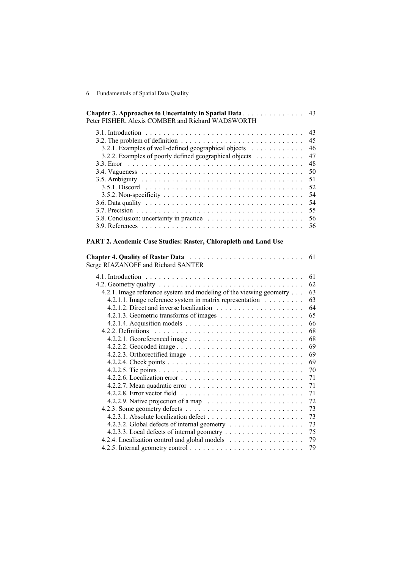| Peter FISHER, Alexis COMBER and Richard WADSWORTH                                                      | <b>Chapter 3. Approaches to Uncertainty in Spatial Data</b> 43 |
|--------------------------------------------------------------------------------------------------------|----------------------------------------------------------------|
|                                                                                                        | 43                                                             |
| 3.2. The problem of definition $\ldots \ldots \ldots \ldots \ldots \ldots \ldots \ldots \ldots \ldots$ | 45                                                             |
| 3.2.1. Examples of well-defined geographical objects                                                   | 46                                                             |
| 3.2.2. Examples of poorly defined geographical objects                                                 | 47                                                             |
| $3.3.$ Error                                                                                           | 48                                                             |
|                                                                                                        | 50                                                             |
|                                                                                                        | 51                                                             |
|                                                                                                        | 52                                                             |
|                                                                                                        | 54                                                             |
|                                                                                                        | 54                                                             |
|                                                                                                        | 55.                                                            |
|                                                                                                        | 56                                                             |
|                                                                                                        | 56                                                             |

# **PART 2. Academic Case Studies: Raster, Chloropleth and Land Use**

| Chapter 4. Quality of Raster Data<br>Serge RIAZANOFF and Richard SANTER | 61 |
|-------------------------------------------------------------------------|----|
|                                                                         | 61 |
|                                                                         | 62 |
| 4.2.1. Image reference system and modeling of the viewing geometry      | 63 |
| 4.2.1.1. Image reference system in matrix representation                | 63 |
|                                                                         | 64 |
|                                                                         | 65 |
|                                                                         | 66 |
|                                                                         | 68 |
|                                                                         | 68 |
|                                                                         | 69 |
|                                                                         | 69 |
|                                                                         | 69 |
|                                                                         | 70 |
|                                                                         | 71 |
|                                                                         | 71 |
|                                                                         | 71 |
|                                                                         | 72 |
|                                                                         | 73 |
|                                                                         | 73 |
| 4.2.3.2. Global defects of internal geometry                            | 73 |
|                                                                         | 75 |
| 4.2.4. Localization control and global models                           | 79 |
|                                                                         | 79 |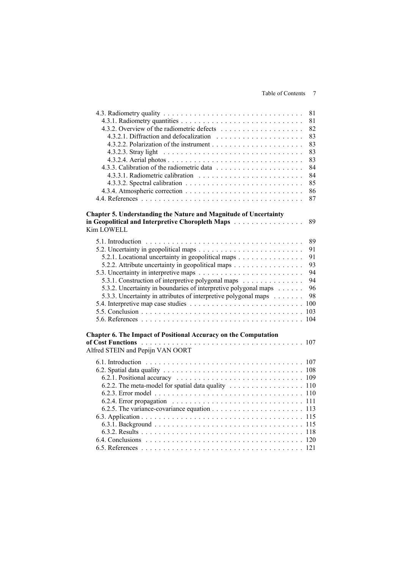## Table of Contents 7

|                                                                                       | 81                                                                                             |
|---------------------------------------------------------------------------------------|------------------------------------------------------------------------------------------------|
|                                                                                       | 81                                                                                             |
|                                                                                       | 82                                                                                             |
|                                                                                       | 83                                                                                             |
|                                                                                       | 83                                                                                             |
|                                                                                       | 83                                                                                             |
|                                                                                       | 83                                                                                             |
|                                                                                       | 84                                                                                             |
|                                                                                       | 84                                                                                             |
|                                                                                       | 85                                                                                             |
|                                                                                       | 86                                                                                             |
|                                                                                       | 87                                                                                             |
| <b>Chapter 5. Understanding the Nature and Magnitude of Uncertainty</b><br>Kim LOWELL | in Geopolitical and Interpretive Choropleth Maps<br>89                                         |
|                                                                                       | 89                                                                                             |
|                                                                                       | 91                                                                                             |
|                                                                                       | 5.2.1. Locational uncertainty in geopolitical maps<br>91                                       |
|                                                                                       | 93<br>5.2.2. Attribute uncertainty in geopolitical maps                                        |
|                                                                                       | 94                                                                                             |
|                                                                                       | 5.3.1. Construction of interpretive polygonal maps<br>94                                       |
|                                                                                       | 5.3.2. Uncertainty in boundaries of interpretive polygonal maps<br>96                          |
|                                                                                       | 5.3.3. Uncertainty in attributes of interpretive polygonal maps<br>98                          |
|                                                                                       |                                                                                                |
|                                                                                       | 103                                                                                            |
|                                                                                       | 104                                                                                            |
| Chapter 6. The Impact of Positional Accuracy on the Computation                       |                                                                                                |
|                                                                                       |                                                                                                |
| Alfred STEIN and Pepijn VAN OORT                                                      |                                                                                                |
|                                                                                       |                                                                                                |
|                                                                                       |                                                                                                |
|                                                                                       |                                                                                                |
|                                                                                       | 6.2.2. The meta-model for spatial data quality $\ldots \ldots \ldots \ldots \ldots \ldots$ 110 |
|                                                                                       |                                                                                                |
|                                                                                       |                                                                                                |
|                                                                                       |                                                                                                |
|                                                                                       |                                                                                                |
|                                                                                       |                                                                                                |
|                                                                                       |                                                                                                |
|                                                                                       |                                                                                                |
|                                                                                       |                                                                                                |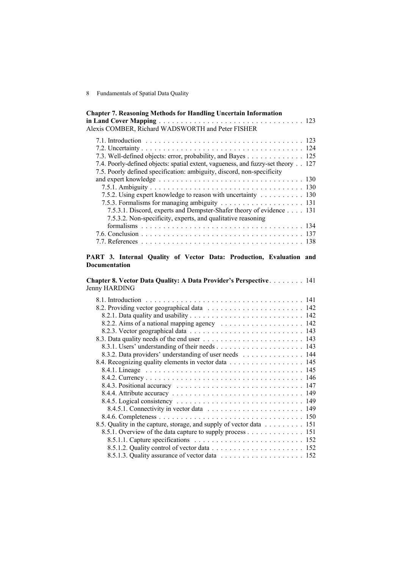| <b>Chapter 7. Reasoning Methods for Handling Uncertain Information</b><br>Alexis COMBER, Richard WADSWORTH and Peter FISHER |  |
|-----------------------------------------------------------------------------------------------------------------------------|--|
|                                                                                                                             |  |
|                                                                                                                             |  |
| 7.3. Well-defined objects: error, probability, and Bayes 125                                                                |  |
| 7.4. Poorly-defined objects: spatial extent, vagueness, and fuzzy-set theory 127                                            |  |
| 7.5. Poorly defined specification: ambiguity, discord, non-specificity                                                      |  |
|                                                                                                                             |  |
|                                                                                                                             |  |
| 7.5.2. Using expert knowledge to reason with uncertainty 130                                                                |  |
|                                                                                                                             |  |
| 7.5.3.1. Discord, experts and Dempster-Shafer theory of evidence 131                                                        |  |
| 7.5.3.2. Non-specificity, experts, and qualitative reasoning                                                                |  |
|                                                                                                                             |  |
|                                                                                                                             |  |
|                                                                                                                             |  |

#### **PART 3. Internal Quality of Vector Data: Production, Evaluation and Documentation**

**Chapter 8. Vector Data Quality: A Data Provider's Perspective** . . . . . . . . 141 Jenny HARDING

| 8.3.2. Data providers' understanding of user needs 144              |
|---------------------------------------------------------------------|
| 8.4. Recognizing quality elements in vector data 145                |
|                                                                     |
|                                                                     |
|                                                                     |
|                                                                     |
|                                                                     |
|                                                                     |
|                                                                     |
| 8.5. Quality in the capture, storage, and supply of vector data 151 |
| 8.5.1. Overview of the data capture to supply process 151           |
|                                                                     |
|                                                                     |
|                                                                     |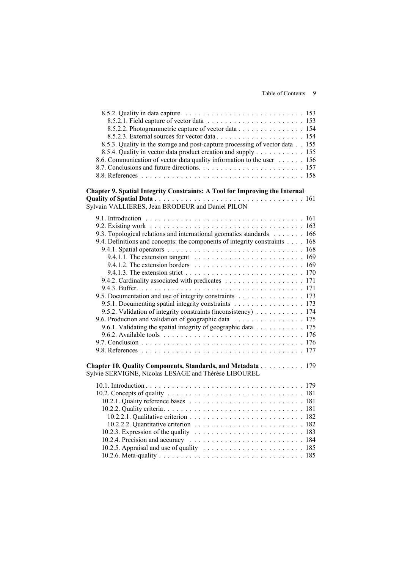Table of Contents 9

| 8.5.2.2. Photogrammetric capture of vector data 154                                                 |  |
|-----------------------------------------------------------------------------------------------------|--|
|                                                                                                     |  |
| 8.5.3. Quality in the storage and post-capture processing of vector data 155                        |  |
| 8.5.4. Quality in vector data product creation and supply 155                                       |  |
| 8.6. Communication of vector data quality information to the user 156                               |  |
|                                                                                                     |  |
|                                                                                                     |  |
| Chapter 9. Spatial Integrity Constraints: A Tool for Improving the Internal                         |  |
|                                                                                                     |  |
| Sylvain VALLIERES, Jean BRODEUR and Daniel PILON                                                    |  |
|                                                                                                     |  |
|                                                                                                     |  |
|                                                                                                     |  |
| 9.3. Topological relations and international geomatics standards 166                                |  |
| 9.4. Definitions and concepts: the components of integrity constraints 168                          |  |
|                                                                                                     |  |
| 9.4.1.1. The extension tangent $\ldots \ldots \ldots \ldots \ldots \ldots \ldots \ldots \ldots 169$ |  |
|                                                                                                     |  |
|                                                                                                     |  |
|                                                                                                     |  |
|                                                                                                     |  |
| 9.5. Documentation and use of integrity constraints 173                                             |  |
| 9.5.1. Documenting spatial integrity constraints 173                                                |  |
| 9.5.2. Validation of integrity constraints (inconsistency) 174                                      |  |
| 9.6. Production and validation of geographic data 175                                               |  |
| 9.6.1. Validating the spatial integrity of geographic data 175                                      |  |
|                                                                                                     |  |
|                                                                                                     |  |
|                                                                                                     |  |
| Chapter 10. Quality Components, Standards, and Metadata 179                                         |  |
| Sylvie SERVIGNE, Nicolas LESAGE and Thérèse LIBOUREL                                                |  |
|                                                                                                     |  |
|                                                                                                     |  |
|                                                                                                     |  |
|                                                                                                     |  |
|                                                                                                     |  |
|                                                                                                     |  |
|                                                                                                     |  |
|                                                                                                     |  |
|                                                                                                     |  |
|                                                                                                     |  |
|                                                                                                     |  |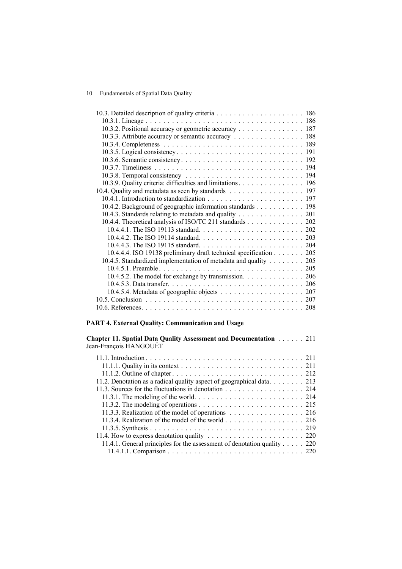| 10.3.2. Positional accuracy or geometric accuracy 187              |
|--------------------------------------------------------------------|
| 10.3.3. Attribute accuracy or semantic accuracy 188                |
|                                                                    |
|                                                                    |
|                                                                    |
|                                                                    |
|                                                                    |
| 10.3.9. Quality criteria: difficulties and limitations. 196        |
| 10.4. Quality and metadata as seen by standards 197                |
|                                                                    |
| 10.4.2. Background of geographic information standards 198         |
| 10.4.3. Standards relating to metadata and quality 201             |
| 10.4.4. Theoretical analysis of ISO/TC 211 standards 202           |
|                                                                    |
|                                                                    |
|                                                                    |
| 10.4.4.4. ISO 19138 preliminary draft technical specification 205  |
| 10.4.5. Standardized implementation of metadata and quality<br>205 |
|                                                                    |
| 10.4.5.2. The model for exchange by transmission. 206              |
|                                                                    |
|                                                                    |
|                                                                    |
|                                                                    |

# **PART 4. External Quality: Communication and Usage**

| <b>Chapter 11. Spatial Data Quality Assessment and Documentation Almanushing Chapter 11. Spatial Data Quality Assessment and Documentation Almanushing 2012</b> |  |
|-----------------------------------------------------------------------------------------------------------------------------------------------------------------|--|
| Jean-François HANGOUËT                                                                                                                                          |  |

| 11.2. Denotation as a radical quality aspect of geographical data 213   |
|-------------------------------------------------------------------------|
| 11.3. Sources for the fluctuations in denotation 214                    |
|                                                                         |
|                                                                         |
| 11.3.3. Realization of the model of operations 216                      |
| 11.3.4. Realization of the model of the world 216                       |
|                                                                         |
|                                                                         |
| 11.4.1. General principles for the assessment of denotation quality 220 |
|                                                                         |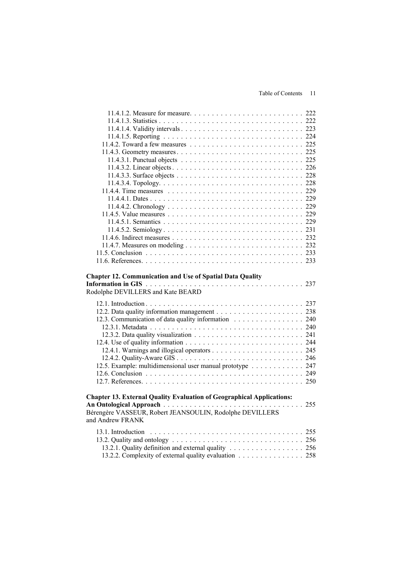| <b>Chapter 12. Communication and Use of Spatial Data Quality</b><br>Rodolphe DEVILLERS and Kate BEARD                                                        | 237 |
|--------------------------------------------------------------------------------------------------------------------------------------------------------------|-----|
|                                                                                                                                                              |     |
|                                                                                                                                                              |     |
| 12.3. Communication of data quality information 240                                                                                                          |     |
|                                                                                                                                                              |     |
|                                                                                                                                                              |     |
|                                                                                                                                                              |     |
|                                                                                                                                                              |     |
|                                                                                                                                                              |     |
| 12.5. Example: multidimensional user manual prototype 247                                                                                                    |     |
|                                                                                                                                                              |     |
|                                                                                                                                                              |     |
| <b>Chapter 13. External Quality Evaluation of Geographical Applications:</b><br>Bérengère VASSEUR, Robert JEANSOULIN, Rodolphe DEVILLERS<br>and Andrew FRANK | 255 |
| 13.1. Introduction                                                                                                                                           |     |
|                                                                                                                                                              |     |
|                                                                                                                                                              |     |
|                                                                                                                                                              |     |
| 13.2.1. Quality definition and external quality 256<br>13.2.2. Complexity of external quality evaluation 258                                                 |     |